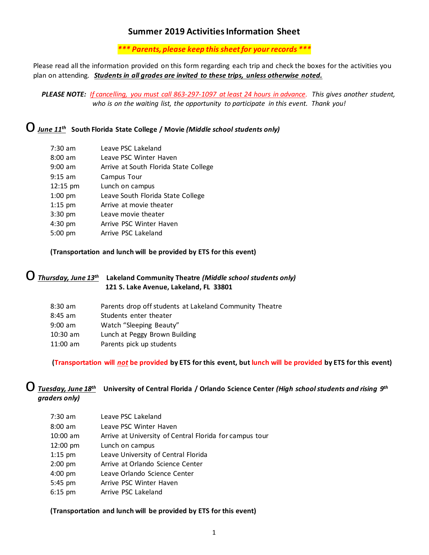# **Summer 2019 Activities Information Sheet**

*\*\*\* Parents, please keep this sheet for your records \*\*\**

Please read all the information provided on this form regarding each trip and check the boxes for the activities you plan on attending. *Students in all grades are invited to these trips, unless otherwise noted.*

*PLEASE NOTE: If cancelling, you must call 863-297-1097 at least 24 hours in advance. This gives another student, who is on the waiting list, the opportunity to participate in this event. Thank you!*

o*June 11th* **South Florida State College / Movie** *(Middle school students only)*

| $7:30$ am         | Leave PSC Lakeland                    |
|-------------------|---------------------------------------|
| $8:00 \text{ am}$ | Leave PSC Winter Haven                |
| $9:00$ am         | Arrive at South Florida State College |
| $9:15$ am         | Campus Tour                           |
| 12:15 pm          | Lunch on campus                       |
| $1:00$ pm         | Leave South Florida State College     |
| $1:15$ pm         | Arrive at movie theater               |
| $3:30$ pm         | Leave movie theater                   |
| 4:30 pm           | Arrive PSC Winter Haven               |
| $5:00$ pm         | Arrive PSC Lakeland                   |

#### **(Transportation and lunch will be provided by ETS for this event)**

|  | $\bigcirc$ Thursday, June 13 <sup>th</sup> Lakeland Community Theatre (Middle school students only) |
|--|-----------------------------------------------------------------------------------------------------|
|  | 121 S. Lake Avenue, Lakeland, FL 33801                                                              |

| $8:30$ am         | Parents drop off students at Lakeland Community Theatre |
|-------------------|---------------------------------------------------------|
| $8:45$ am         | Students enter theater                                  |
| $9:00 \text{ am}$ | Watch "Sleeping Beauty"                                 |
| $10:30$ am        | Lunch at Peggy Brown Building                           |
| $11:00$ am        | Parents pick up students                                |
|                   |                                                         |

**(Transportation will** *not* **be provided by ETS for this event, but lunch will be provided by ETS for this event)**

### o*Tuesday, June 18th* **University of Central Florida / Orlando Science Center** *(High school students and rising 9th graders only)*

| $7:30$ am  | Leave PSC Lakeland                                      |
|------------|---------------------------------------------------------|
| $8:00$ am  | Leave PSC Winter Haven                                  |
| $10:00$ am | Arrive at University of Central Florida for campus tour |
| 12:00 pm   | Lunch on campus                                         |
| $1:15$ pm  | Leave University of Central Florida                     |
| $2:00$ pm  | Arrive at Orlando Science Center                        |
| $4:00$ pm  | Leave Orlando Science Center                            |
| 5:45 pm    | Arrive PSC Winter Haven                                 |
| $6:15$ pm  | Arrive PSC Lakeland                                     |
|            |                                                         |

#### **(Transportation and lunch will be provided by ETS for this event)**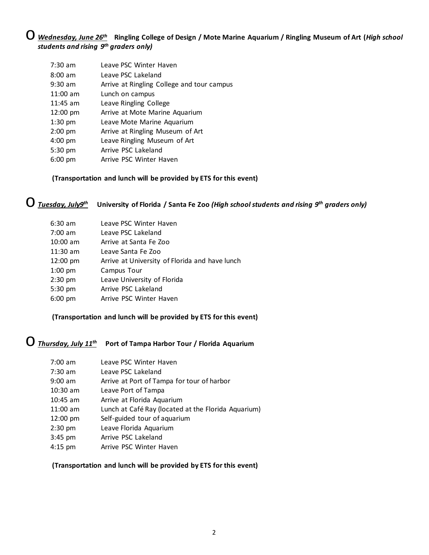## o *Wednesday, June 26th* **Ringling College of Design / Mote Marine Aquarium / Ringling Museum of Art (***High school students and rising 9th graders only)*

| $7:30$ am  | Leave PSC Winter Haven                     |
|------------|--------------------------------------------|
| $8:00$ am  | Leave PSC Lakeland                         |
| $9:30$ am  | Arrive at Ringling College and tour campus |
| $11:00$ am | Lunch on campus                            |
| $11:45$ am | Leave Ringling College                     |
| 12:00 pm   | Arrive at Mote Marine Aquarium             |
| $1:30$ pm  | Leave Mote Marine Aquarium                 |
| $2:00$ pm  | Arrive at Ringling Museum of Art           |
| $4:00$ pm  | Leave Ringling Museum of Art               |
| $5:30$ pm  | Arrive PSC Lakeland                        |
| $6:00$ pm  | Arrive PSC Winter Haven                    |

#### **(Transportation and lunch will be provided by ETS for this event)**

# o*Tuesday, July9th* **University of Florida / Santa Fe Zoo** *(High school students and rising 9th graders only)*

| $6:30$ am         | Leave PSC Winter Haven                         |
|-------------------|------------------------------------------------|
| $7:00 \text{ am}$ | Leave PSC Lakeland                             |
| $10:00$ am        | Arrive at Santa Fe Zoo                         |
| $11:30$ am        | Leave Santa Fe Zoo                             |
| 12:00 pm          | Arrive at University of Florida and have lunch |
| $1:00$ pm         | Campus Tour                                    |
| $2:30$ pm         | Leave University of Florida                    |
| 5:30 pm           | Arrive PSC Lakeland                            |
| $6:00 \text{ pm}$ | Arrive PSC Winter Haven                        |
|                   |                                                |

### **(Transportation and lunch will be provided by ETS for this event)**

# o*Thursday, July 11th* **Port of Tampa Harbor Tour / Florida Aquarium**

| $7:00 \text{ am}$ | Leave PSC Winter Haven                              |
|-------------------|-----------------------------------------------------|
| $7:30$ am         | Leave PSC Lakeland                                  |
| $9:00$ am         | Arrive at Port of Tampa for tour of harbor          |
| $10:30$ am        | Leave Port of Tampa                                 |
| $10:45$ am        | Arrive at Florida Aquarium                          |
| $11:00$ am        | Lunch at Café Ray (located at the Florida Aquarium) |
| 12:00 pm          | Self-guided tour of aquarium                        |
| $2:30$ pm         | Leave Florida Aquarium                              |
| $3:45$ pm         | Arrive PSC Lakeland                                 |
| $4:15$ pm         | Arrive PSC Winter Haven                             |

#### **(Transportation and lunch will be provided by ETS for this event)**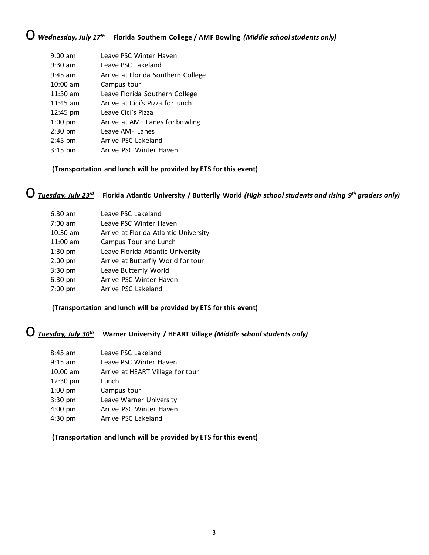# o *Wednesday, July 17th* **Florida Southern College / AMF Bowling** *(Middle school students only)*

| $9:00 \text{ am}$ | Leave PSC Winter Haven             |
|-------------------|------------------------------------|
| $9:30$ am         | Leave PSC Lakeland                 |
| $9:45$ am         | Arrive at Florida Southern College |
| $10:00$ am        | Campus tour                        |
| $11:30$ am        | Leave Florida Southern College     |
| $11:45$ am        | Arrive at Cici's Pizza for lunch   |
| 12:45 pm          | Leave Cici's Pizza                 |
| $1:00$ pm         | Arrive at AMF Lanes for bowling    |
| $2:30$ pm         | Leave AMF Lanes                    |
| $2:45$ pm         | Arrive PSC Lakeland                |
| $3:15$ pm         | Arrive PSC Winter Haven            |

### **(Transportation and lunch will be provided by ETS for this event)**

# o*Tuesday, July 23rd* **Florida Atlantic University / Butterfly World** *(High school students and rising 9th graders only)*

| 6:30 am    | Leave PSC Lakeland                    |
|------------|---------------------------------------|
| 7:00 am    | Leave PSC Winter Haven                |
| $10:30$ am | Arrive at Florida Atlantic University |
| 11:00 am   | Campus Tour and Lunch                 |
| $1:30$ pm  | Leave Florida Atlantic University     |
| $2:00$ pm  | Arrive at Butterfly World for tour    |
| $3:30$ pm  | Leave Butterfly World                 |
| 6:30 pm    | Arrive PSC Winter Haven               |
| 7:00 pm    | Arrive PSC Lakeland                   |
|            |                                       |

### **(Transportation and lunch will be provided by ETS for this event)**

# o*Tuesday, July 30th* **Warner University / HEART Village** *(Middle school students only)*

| $8:45$ am  | Leave PSC Lakeland               |
|------------|----------------------------------|
| $9:15$ am  | Leave PSC Winter Haven           |
| $10:00$ am | Arrive at HEART Village for tour |
| 12:30 pm   | Lunch                            |
| $1:00$ pm  | Campus tour                      |
| $3:30$ pm  | Leave Warner University          |
| $4:00$ pm  | Arrive PSC Winter Haven          |
| $4:30$ pm  | Arrive PSC Lakeland              |

#### **(Transportation and lunch will be provided by ETS for this event)**